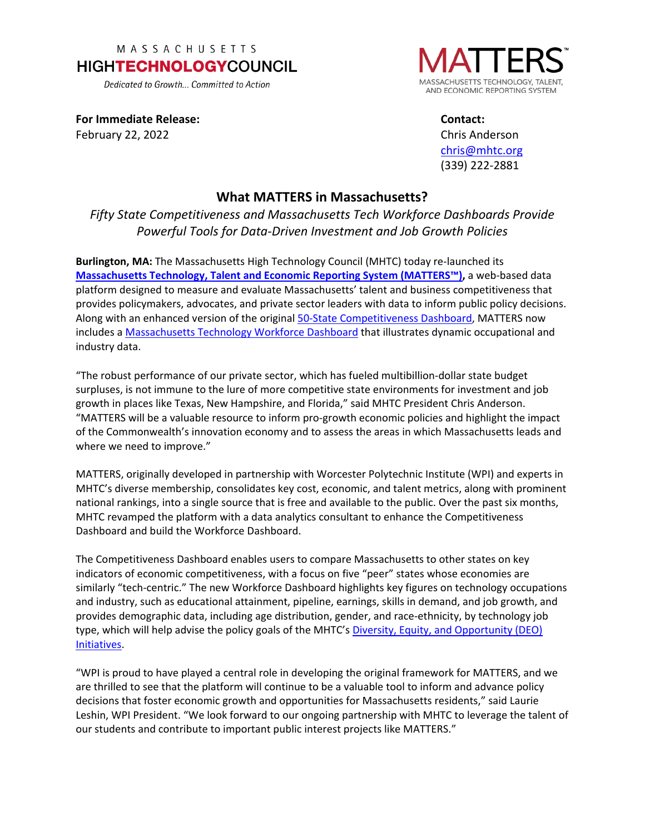## MASSACHUSETTS **HIGHTECHNOLOGYCOUNCIL**

Dedicated to Growth... Committed to Action

SACHUSETTS TECHNOLOGY. TALEN' AND ECONOMIC REPORTING SYSTEM

**For Immediate Release:** February 22, 2022

**Contact:** Chris Anderson [chris@mhtc.org](mailto:chris@mhtc.org) (339) 222-2881

## **What MATTERS in Massachusetts?**

*Fifty State Competitiveness and Massachusetts Tech Workforce Dashboards Provide Powerful Tools for Data-Driven Investment and Job Growth Policies*

**Burlington, MA:** The Massachusetts High Technology Council (MHTC) today re-launched its **[Massachusetts Technology, Talent and Economic Reporting System \(MATTERS™\),](https://www.mhtc.org/matters/)** a web-based data platform designed to measure and evaluate Massachusetts' talent and business competitiveness that provides policymakers, advocates, and private sector leaders with data to inform public policy decisions. Along with an enhanced version of the original [50-State Competitiveness Dashboard,](https://www.mhtc.org/50-state-competitiveness-dashboard/) MATTERS now includes a [Massachusetts Technology Workforce Dashboard](https://www.mhtc.org/technology-workforce-dashboard/) that illustrates dynamic occupational and industry data.

"The robust performance of our private sector, which has fueled multibillion-dollar state budget surpluses, is not immune to the lure of more competitive state environments for investment and job growth in places like Texas, New Hampshire, and Florida," said MHTC President Chris Anderson. "MATTERS will be a valuable resource to inform pro-growth economic policies and highlight the impact of the Commonwealth's innovation economy and to assess the areas in which Massachusetts leads and where we need to improve."

MATTERS, originally developed in partnership with Worcester Polytechnic Institute (WPI) and experts in MHTC's diverse membership, consolidates key cost, economic, and talent metrics, along with prominent national rankings, into a single source that is free and available to the public. Over the past six months, MHTC revamped the platform with a data analytics consultant to enhance the Competitiveness Dashboard and build the Workforce Dashboard.

The Competitiveness Dashboard enables users to compare Massachusetts to other states on key indicators of economic competitiveness, with a focus on five "peer" states whose economies are similarly "tech-centric." The new Workforce Dashboard highlights key figures on technology occupations and industry, such as educational attainment, pipeline, earnings, skills in demand, and job growth, and provides demographic data, including age distribution, gender, and race-ethnicity, by technology job type, which will help advise the policy goals of the MHTC's Diversity, Equity, and Opportunity (DEO) [Initiatives.](http://www.mhtc.org/diversity-equity-and-opportunity/)

"WPI is proud to have played a central role in developing the original framework for MATTERS, and we are thrilled to see that the platform will continue to be a valuable tool to inform and advance policy decisions that foster economic growth and opportunities for Massachusetts residents," said Laurie Leshin, WPI President. "We look forward to our ongoing partnership with MHTC to leverage the talent of our students and contribute to important public interest projects like MATTERS."